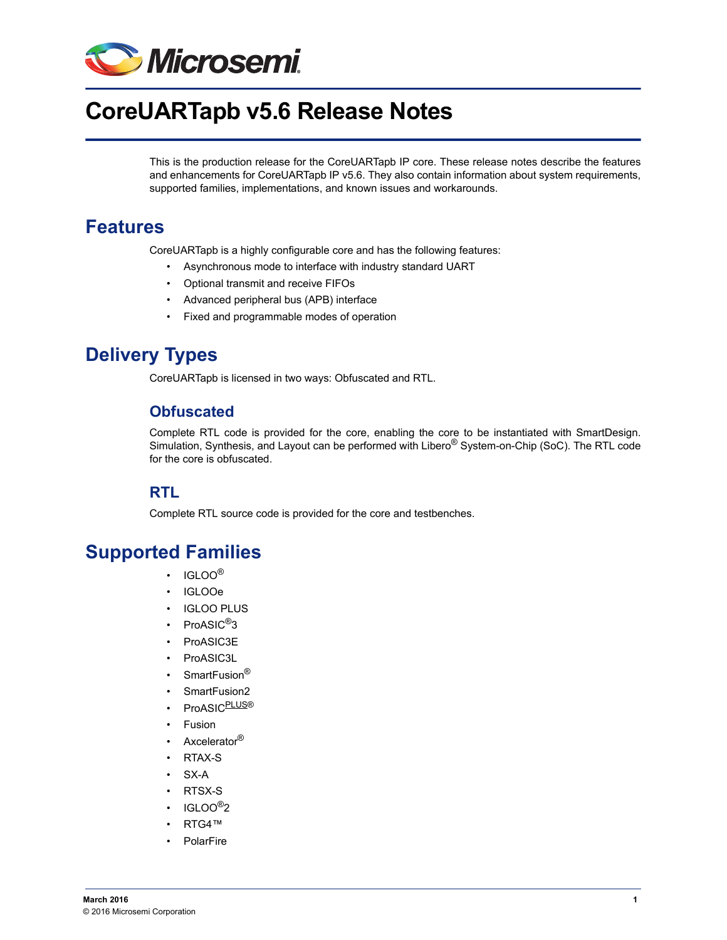

# **CoreUARTapb v5.6 Release Notes**

This is the production release for the CoreUARTapb IP core. These release notes describe the features and enhancements for CoreUARTapb IP v5.6. They also contain information about system requirements, supported families, implementations, and known issues and workarounds.

## **Features**

CoreUARTapb is a highly configurable core and has the following features:

- Asynchronous mode to interface with industry standard UART
- Optional transmit and receive FIFOs
- Advanced peripheral bus (APB) interface
- Fixed and programmable modes of operation

## **Delivery Types**

CoreUARTapb is licensed in two ways: Obfuscated and RTL.

### **Obfuscated**

Complete RTL code is provided for the core, enabling the core to be instantiated with SmartDesign. Simulation, Synthesis, and Layout can be performed with Libero<sup>®</sup> System-on-Chip (SoC). The RTL code for the core is obfuscated.

### **RTL**

Complete RTL source code is provided for the core and testbenches.

### **Supported Families**

- IGLOO®
- IGLOOe
- **IGLOO PLUS**
- ProASIC<sup>®</sup>3
- ProASIC3E
- ProASIC3L
- SmartFusion<sup>®</sup>
- SmartFusion2
- ProASIC<sup>PLUS®</sup>
- Fusion
- Axcelerator<sup>®</sup>
- RTAX-S
- SX-A
- RTSX-S
- $\cdot$  IGLOO<sup>®</sup>2
- RTG4™
- **PolarFire**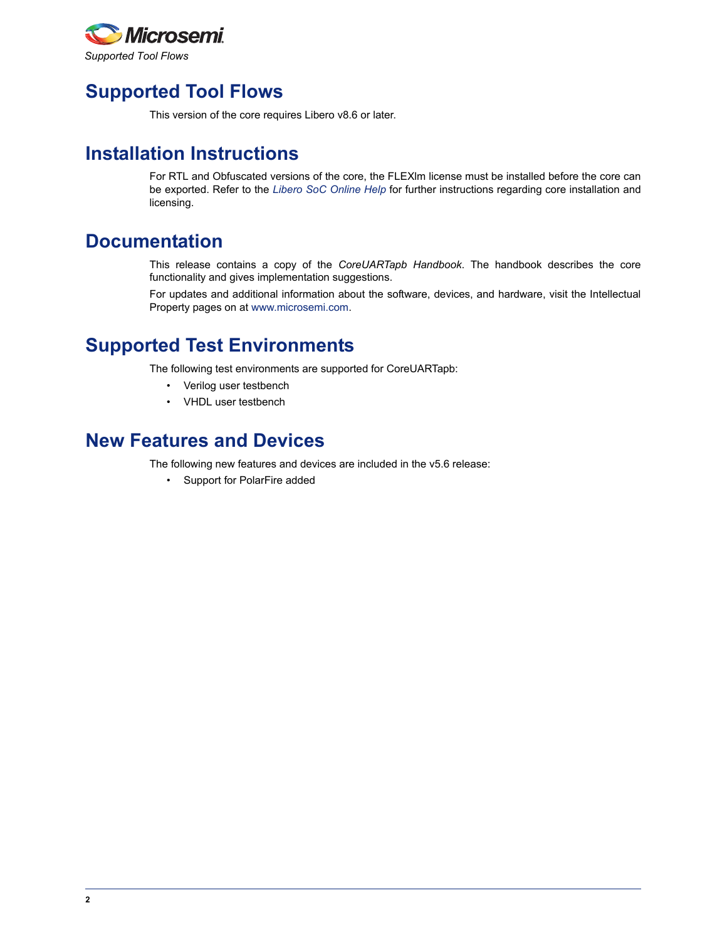

## **Supported Tool Flows**

This version of the core requires Libero v8.6 or later.

## **Installation Instructions**

For RTL and Obfuscated versions of the core, the FLEXlm license must be installed before the core can be exported. Refer to the *[Libero SoC Online Help](http://www.microsemi.com/index.php?option=com_docman&task=doc_download&gid=132044)* for further instructions regarding core installation and licensing.

## **Documentation**

This release contains a copy of the *CoreUARTapb Handbook*. The handbook describes the core functionality and gives implementation suggestions.

For updates and additional information about the software, devices, and hardware, visit the Intellectual Property pages on at [www.microsemi.com.](http://www.microsemi.com/index.php?option=com_content&view=article&id=68&catid=9&Itemid=744)

## **Supported Test Environments**

The following test environments are supported for CoreUARTapb:

- Verilog user testbench
- VHDL user testbench

### **New Features and Devices**

The following new features and devices are included in the v5.6 release:

• Support for PolarFire added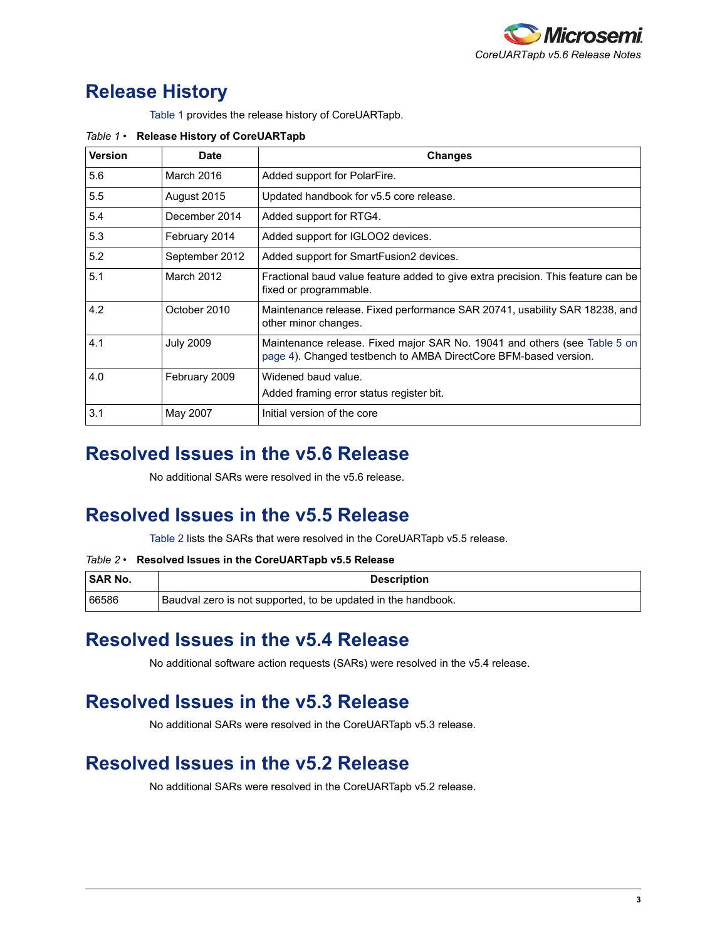

## **Release History**

[Table 1](#page-2-0) provides the release history of CoreUARTapb.

| <b>Version</b> | <b>Date</b>      | <b>Changes</b>                                                                                                                                |
|----------------|------------------|-----------------------------------------------------------------------------------------------------------------------------------------------|
| 5.6            | March 2016       | Added support for PolarFire.                                                                                                                  |
| 5.5            | August 2015      | Updated handbook for v5.5 core release.                                                                                                       |
| 5.4            | December 2014    | Added support for RTG4.                                                                                                                       |
| 5.3            | February 2014    | Added support for IGLOO2 devices.                                                                                                             |
| 5.2            | September 2012   | Added support for SmartFusion2 devices.                                                                                                       |
| 5.1            | March 2012       | Fractional baud value feature added to give extra precision. This feature can be<br>fixed or programmable.                                    |
| 4.2            | October 2010     | Maintenance release. Fixed performance SAR 20741, usability SAR 18238, and<br>other minor changes.                                            |
| 4.1            | <b>July 2009</b> | Maintenance release. Fixed major SAR No. 19041 and others (see Table 5 on<br>page 4). Changed testbench to AMBA DirectCore BFM-based version. |
| 4.0            | February 2009    | Widened baud value.<br>Added framing error status register bit.                                                                               |
| 3.1            | May 2007         | Initial version of the core                                                                                                                   |

#### <span id="page-2-0"></span>*Table 1 •* **Release History of CoreUARTapb**

### **Resolved Issues in the v5.6 Release**

No additional SARs were resolved in the v5.6 release.

## **Resolved Issues in the v5.5 Release**

[Table 2](#page-2-1) lists the SARs that were resolved in the CoreUARTapb v5.5 release.

#### <span id="page-2-1"></span>*Table 2 •* **Resolved Issues in the CoreUARTapb v5.5 Release**

| <b>SAR No.</b> | <b>Description</b>                                            |
|----------------|---------------------------------------------------------------|
| 66586          | Baudval zero is not supported, to be updated in the handbook. |

### **Resolved Issues in the v5.4 Release**

No additional software action requests (SARs) were resolved in the v5.4 release.

## **Resolved Issues in the v5.3 Release**

No additional SARs were resolved in the CoreUARTapb v5.3 release.

## **Resolved Issues in the v5.2 Release**

No additional SARs were resolved in the CoreUARTapb v5.2 release.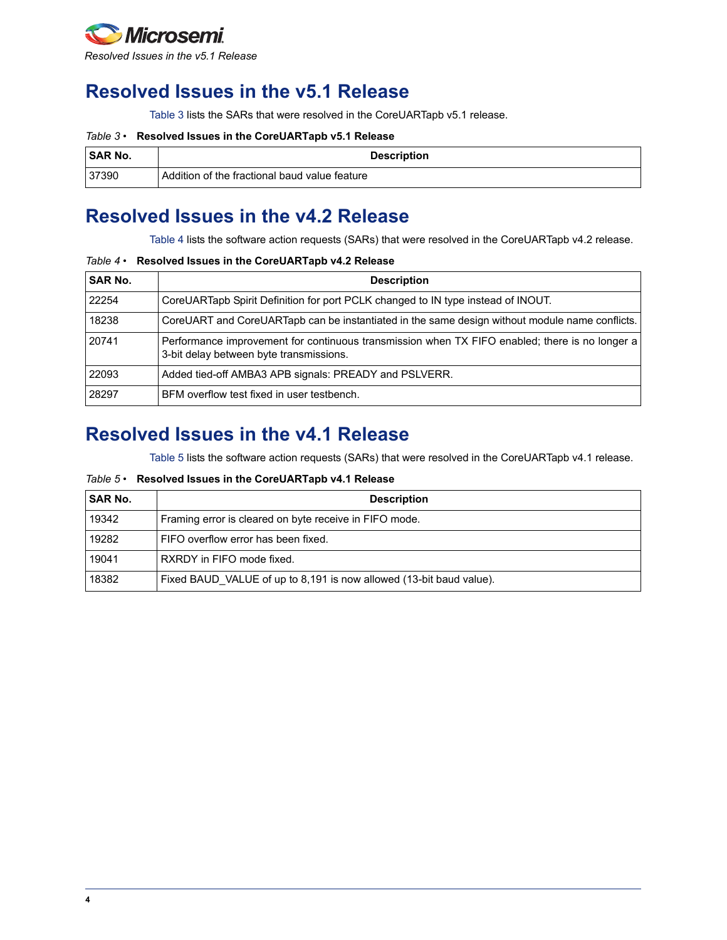

## **Resolved Issues in the v5.1 Release**

[Table 3](#page-3-1) lists the SARs that were resolved in the CoreUARTapb v5.1 release.

#### <span id="page-3-1"></span>*Table 3 •* **Resolved Issues in the CoreUARTapb v5.1 Release**

| <b>SAR No.</b> | <b>Description</b>                            |
|----------------|-----------------------------------------------|
| 37390          | Addition of the fractional baud value feature |

## **Resolved Issues in the v4.2 Release**

[Table 4](#page-3-2) lists the software action requests (SARs) that were resolved in the CoreUARTapb v4.2 release.

#### <span id="page-3-2"></span>*Table 4 •* **Resolved Issues in the CoreUARTapb v4.2 Release**

| <b>SAR No.</b> | <b>Description</b>                                                                                                                        |
|----------------|-------------------------------------------------------------------------------------------------------------------------------------------|
| 22254          | CoreUARTapb Spirit Definition for port PCLK changed to IN type instead of INOUT.                                                          |
| 18238          | CoreUART and CoreUARTapb can be instantiated in the same design without module name conflicts.                                            |
| 20741          | Performance improvement for continuous transmission when TX FIFO enabled; there is no longer a<br>3-bit delay between byte transmissions. |
| 22093          | Added tied-off AMBA3 APB signals: PREADY and PSLVERR.                                                                                     |
| 28297          | BFM overflow test fixed in user testbench.                                                                                                |

## **Resolved Issues in the v4.1 Release**

[Table 5](#page-3-0) lists the software action requests (SARs) that were resolved in the CoreUARTapb v4.1 release.

#### <span id="page-3-0"></span>*Table 5 •* **Resolved Issues in the CoreUARTapb v4.1 Release**

| <b>SAR No.</b> | <b>Description</b>                                                  |
|----------------|---------------------------------------------------------------------|
| 19342          | Framing error is cleared on byte receive in FIFO mode.              |
| 19282          | FIFO overflow error has been fixed.                                 |
| 19041          | RXRDY in FIFO mode fixed.                                           |
| 18382          | Fixed BAUD VALUE of up to 8,191 is now allowed (13-bit baud value). |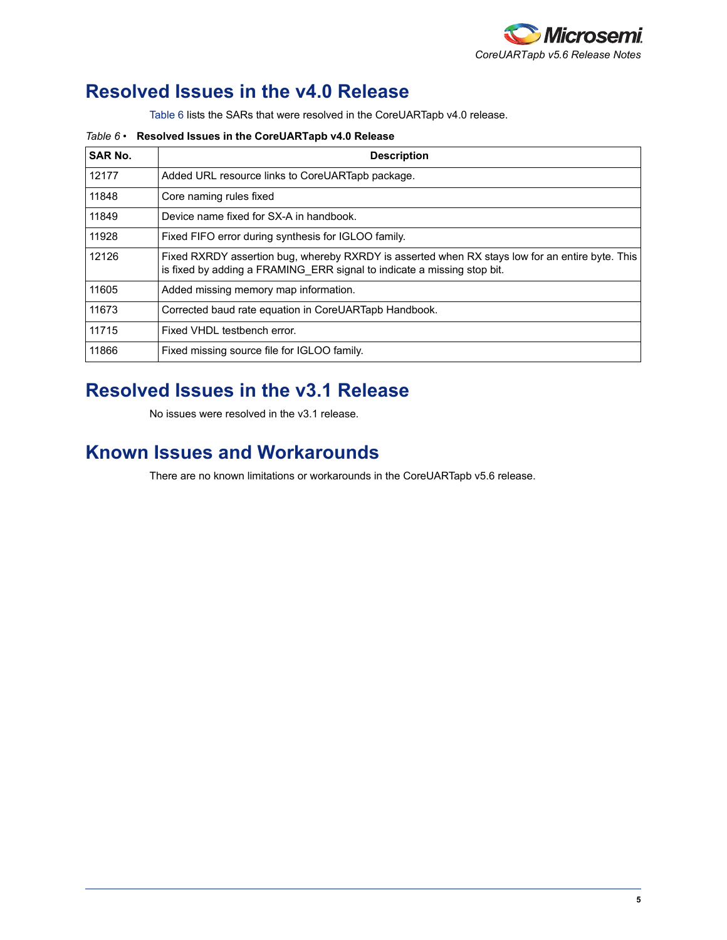

## **Resolved Issues in the v4.0 Release**

[Table 6](#page-4-0) lists the SARs that were resolved in the CoreUARTapb v4.0 release.

<span id="page-4-0"></span>*Table 6 •* **Resolved Issues in the CoreUARTapb v4.0 Release**

| <b>SAR No.</b> | <b>Description</b>                                                                                                                                                         |
|----------------|----------------------------------------------------------------------------------------------------------------------------------------------------------------------------|
| 12177          | Added URL resource links to CoreUARTapb package.                                                                                                                           |
| 11848          | Core naming rules fixed                                                                                                                                                    |
| 11849          | Device name fixed for SX-A in handbook.                                                                                                                                    |
| 11928          | Fixed FIFO error during synthesis for IGLOO family.                                                                                                                        |
| 12126          | Fixed RXRDY assertion bug, whereby RXRDY is asserted when RX stays low for an entire byte. This<br>is fixed by adding a FRAMING ERR signal to indicate a missing stop bit. |
| 11605          | Added missing memory map information.                                                                                                                                      |
| 11673          | Corrected baud rate equation in CoreUARTapb Handbook.                                                                                                                      |
| 11715          | Fixed VHDL testbench error.                                                                                                                                                |
| 11866          | Fixed missing source file for IGLOO family.                                                                                                                                |

## **Resolved Issues in the v3.1 Release**

No issues were resolved in the v3.1 release.

### **Known Issues and Workarounds**

There are no known limitations or workarounds in the CoreUARTapb v5.6 release.